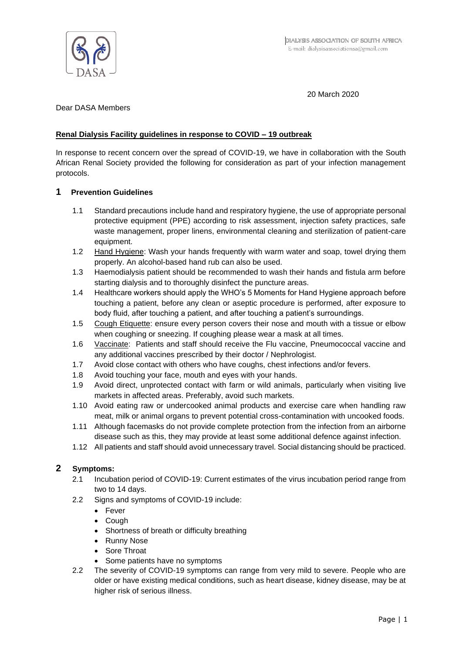

20 March 2020

## Dear DASA Members

# **Renal Dialysis Facility guidelines in response to COVID – 19 outbreak**

In response to recent concern over the spread of COVID-19, we have in collaboration with the South African Renal Society provided the following for consideration as part of your infection management protocols.

## **1 Prevention Guidelines**

- 1.1 Standard precautions include hand and respiratory hygiene, the use of appropriate personal protective equipment (PPE) according to risk assessment, injection safety practices, safe waste management, proper linens, environmental cleaning and sterilization of patient-care equipment.
- 1.2 Hand Hygiene: Wash your hands frequently with warm water and soap, towel drying them properly. An alcohol-based hand rub can also be used.
- 1.3 Haemodialysis patient should be recommended to wash their hands and fistula arm before starting dialysis and to thoroughly disinfect the puncture areas.
- 1.4 Healthcare workers should apply the WHO's 5 Moments for Hand Hygiene approach before touching a patient, before any clean or aseptic procedure is performed, after exposure to body fluid, after touching a patient, and after touching a patient's surroundings.
- 1.5 Cough Etiquette: ensure every person covers their nose and mouth with a tissue or elbow when coughing or sneezing. If coughing please wear a mask at all times.
- 1.6 Vaccinate: Patients and staff should receive the Flu vaccine, Pneumococcal vaccine and any additional vaccines prescribed by their doctor / Nephrologist.
- 1.7 Avoid close contact with others who have coughs, chest infections and/or fevers.
- 1.8 Avoid touching your face, mouth and eyes with your hands.
- 1.9 Avoid direct, unprotected contact with farm or wild animals, particularly when visiting live markets in affected areas. Preferably, avoid such markets.
- 1.10 Avoid eating raw or undercooked animal products and exercise care when handling raw meat, milk or animal organs to prevent potential cross-contamination with uncooked foods.
- 1.11 Although facemasks do not provide complete protection from the infection from an airborne disease such as this, they may provide at least some additional defence against infection.
- 1.12 All patients and staff should avoid unnecessary travel. Social distancing should be practiced.

# **2 Symptoms:**

- 2.1 Incubation period of COVID-19: Current estimates of the virus incubation period range from two to 14 days.
- 2.2 Signs and symptoms of COVID-19 include:
	- Fever
	- Cough
	- Shortness of breath or difficulty breathing
	- Runny Nose
	- Sore Throat
	- Some patients have no symptoms
- 2.2 The severity of COVID-19 symptoms can range from very mild to severe. People who are older or have existing medical conditions, such as heart disease, kidney disease, may be at higher risk of serious illness.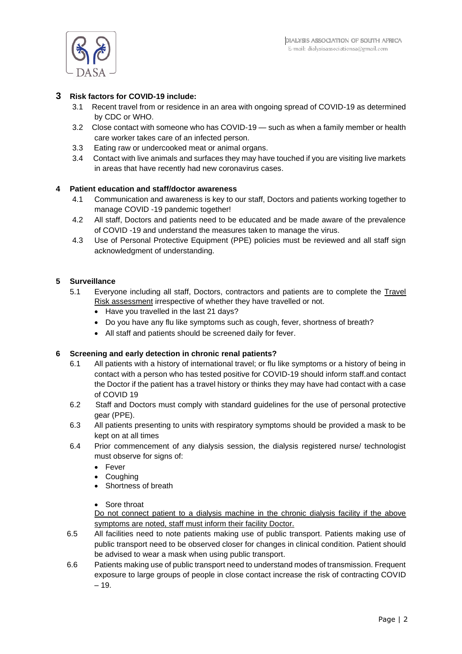

## **3 Risk factors for COVID-19 include:**

- 3.1 Recent travel from or residence in an area with ongoing spread of COVID-19 as determined by CDC or WHO.
- 3.2 Close contact with someone who has COVID-19 such as when a family member or health care worker takes care of an infected person.
- 3.3 Eating raw or undercooked meat or animal organs.
- 3.4 Contact with live animals and surfaces they may have touched if you are visiting live markets in areas that have recently had new coronavirus cases.

# **4 Patient education and staff/doctor awareness**

- 4.1 Communication and awareness is key to our staff, Doctors and patients working together to manage COVID -19 pandemic together!
- 4.2 All staff, Doctors and patients need to be educated and be made aware of the prevalence of COVID -19 and understand the measures taken to manage the virus.
- 4.3 Use of Personal Protective Equipment (PPE) policies must be reviewed and all staff sign acknowledgment of understanding.

## **5 Surveillance**

- 5.1 Everyone including all staff, Doctors, contractors and patients are to complete the Travel Risk assessment irrespective of whether they have travelled or not.
	- Have you travelled in the last 21 days?
	- Do you have any flu like symptoms such as cough, fever, shortness of breath?
	- All staff and patients should be screened daily for fever.

### **6 Screening and early detection in chronic renal patients?**

- 6.1 All patients with a history of international travel; or flu like symptoms or a history of being in contact with a person who has tested positive for COVID-19 should inform staff.and contact the Doctor if the patient has a travel history or thinks they may have had contact with a case of COVID 19
- 6.2 Staff and Doctors must comply with standard guidelines for the use of personal protective gear (PPE).
- 6.3 All patients presenting to units with respiratory symptoms should be provided a mask to be kept on at all times
- 6.4 Prior commencement of any dialysis session, the dialysis registered nurse/ technologist must observe for signs of:
	- Fever
	- Coughing
	- Shortness of breath
	- Sore throat

Do not connect patient to a dialysis machine in the chronic dialysis facility if the above symptoms are noted, staff must inform their facility Doctor.

- 6.5 All facilities need to note patients making use of public transport. Patients making use of public transport need to be observed closer for changes in clinical condition. Patient should be advised to wear a mask when using public transport.
- 6.6 Patients making use of public transport need to understand modes of transmission. Frequent exposure to large groups of people in close contact increase the risk of contracting COVID – 19.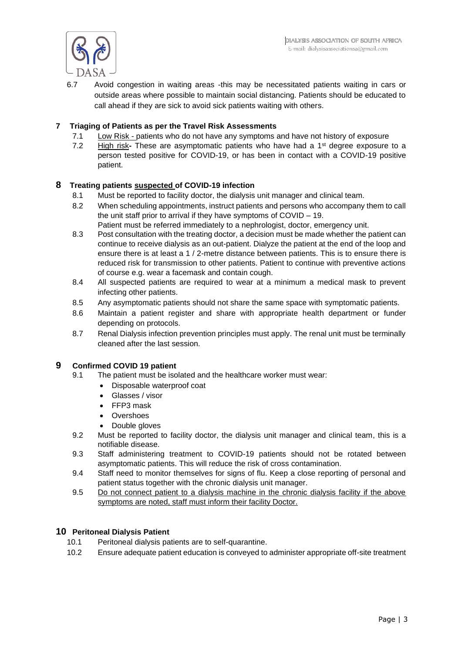

6.7 Avoid congestion in waiting areas -this may be necessitated patients waiting in cars or outside areas where possible to maintain social distancing. Patients should be educated to call ahead if they are sick to avoid sick patients waiting with others.

## **7 Triaging of Patients as per the Travel Risk Assessments**

- 7.1 Low Risk patients who do not have any symptoms and have not history of exposure
- 7.2 High risk**-** These are asymptomatic patients who have had a 1st degree exposure to a person tested positive for COVID-19, or has been in contact with a COVID-19 positive patient.

### **8 Treating patients suspected of COVID-19 infection**

- 8.1 Must be reported to facility doctor, the dialysis unit manager and clinical team.
- 8.2 When scheduling appointments, instruct patients and persons who accompany them to call the unit staff prior to arrival if they have symptoms of COVID – 19.
	- Patient must be referred immediately to a nephrologist, doctor, emergency unit.
- 8.3 Post consultation with the treating doctor, a decision must be made whether the patient can continue to receive dialysis as an out-patient. Dialyze the patient at the end of the loop and ensure there is at least a 1 / 2-metre distance between patients. This is to ensure there is reduced risk for transmission to other patients. Patient to continue with preventive actions of course e.g. wear a facemask and contain cough.
- 8.4 All suspected patients are required to wear at a minimum a medical mask to prevent infecting other patients.
- 8.5 Any asymptomatic patients should not share the same space with symptomatic patients.
- 8.6 Maintain a patient register and share with appropriate health department or funder depending on protocols.
- 8.7 Renal Dialysis infection prevention principles must apply. The renal unit must be terminally cleaned after the last session.

### **9 Confirmed COVID 19 patient**

- 9.1 The patient must be isolated and the healthcare worker must wear:
	- Disposable waterproof coat
	- Glasses / visor
	- FFP3 mask
	- Overshoes
	- Double gloves
- 9.2 Must be reported to facility doctor, the dialysis unit manager and clinical team, this is a notifiable disease.
- 9.3 Staff administering treatment to COVID-19 patients should not be rotated between asymptomatic patients. This will reduce the risk of cross contamination.
- 9.4 Staff need to monitor themselves for signs of flu. Keep a close reporting of personal and patient status together with the chronic dialysis unit manager.
- 9.5 Do not connect patient to a dialysis machine in the chronic dialysis facility if the above symptoms are noted, staff must inform their facility Doctor.

### **10 Peritoneal Dialysis Patient**

- 10.1 Peritoneal dialysis patients are to self-quarantine.
- 10.2 Ensure adequate patient education is conveyed to administer appropriate off-site treatment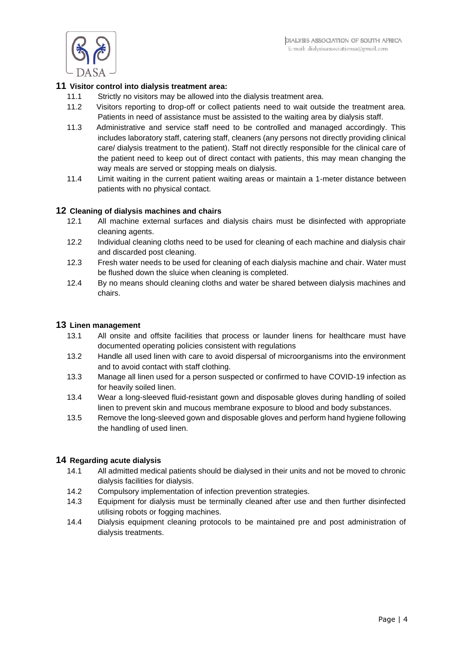

## **11 Visitor control into dialysis treatment area:**

- 11.1 Strictly no visitors may be allowed into the dialysis treatment area.
- 11.2 Visitors reporting to drop-off or collect patients need to wait outside the treatment area. Patients in need of assistance must be assisted to the waiting area by dialysis staff.
- 11.3 Administrative and service staff need to be controlled and managed accordingly. This includes laboratory staff, catering staff, cleaners (any persons not directly providing clinical care/ dialysis treatment to the patient). Staff not directly responsible for the clinical care of the patient need to keep out of direct contact with patients, this may mean changing the way meals are served or stopping meals on dialysis.
- 11.4 Limit waiting in the current patient waiting areas or maintain a 1-meter distance between patients with no physical contact.

### **12 Cleaning of dialysis machines and chairs**

- 12.1 All machine external surfaces and dialysis chairs must be disinfected with appropriate cleaning agents.
- 12.2 Individual cleaning cloths need to be used for cleaning of each machine and dialysis chair and discarded post cleaning.
- 12.3 Fresh water needs to be used for cleaning of each dialysis machine and chair. Water must be flushed down the sluice when cleaning is completed.
- 12.4 By no means should cleaning cloths and water be shared between dialysis machines and chairs.

#### **13 Linen management**

- 13.1 All onsite and offsite facilities that process or launder linens for healthcare must have documented operating policies consistent with regulations
- 13.2 Handle all used linen with care to avoid dispersal of microorganisms into the environment and to avoid contact with staff clothing.
- 13.3 Manage all linen used for a person suspected or confirmed to have COVID-19 infection as for heavily soiled linen.
- 13.4 Wear a long-sleeved fluid-resistant gown and disposable gloves during handling of soiled linen to prevent skin and mucous membrane exposure to blood and body substances.
- 13.5 Remove the long-sleeved gown and disposable gloves and perform hand hygiene following the handling of used linen.

### **14 Regarding acute dialysis**

- 14.1 All admitted medical patients should be dialysed in their units and not be moved to chronic dialysis facilities for dialysis.
- 14.2 Compulsory implementation of infection prevention strategies.
- 14.3 Equipment for dialysis must be terminally cleaned after use and then further disinfected utilising robots or fogging machines.
- 14.4 Dialysis equipment cleaning protocols to be maintained pre and post administration of dialysis treatments.